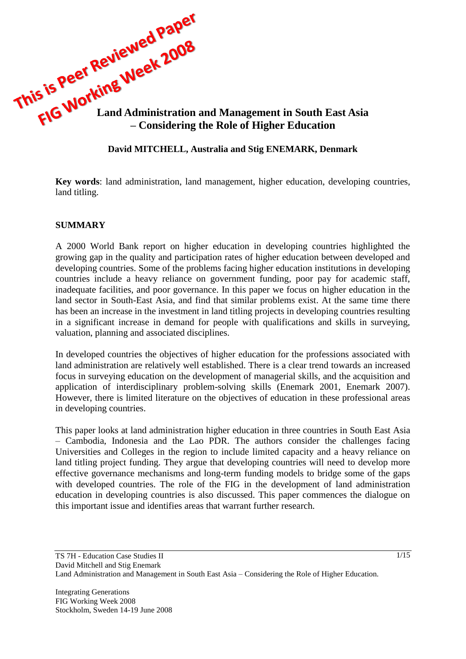

### **David MITCHELL, Australia and Stig ENEMARK, Denmark**

**Key words**: land administration, land management, higher education, developing countries, land titling.

#### **SUMMARY**

A 2000 World Bank report on higher education in developing countries highlighted the growing gap in the quality and participation rates of higher education between developed and developing countries. Some of the problems facing higher education institutions in developing countries include a heavy reliance on government funding, poor pay for academic staff, inadequate facilities, and poor governance. In this paper we focus on higher education in the land sector in South-East Asia, and find that similar problems exist. At the same time there has been an increase in the investment in land titling projects in developing countries resulting in a significant increase in demand for people with qualifications and skills in surveying, valuation, planning and associated disciplines.

In developed countries the objectives of higher education for the professions associated with land administration are relatively well established. There is a clear trend towards an increased focus in surveying education on the development of managerial skills, and the acquisition and application of interdisciplinary problem-solving skills (Enemark 2001, Enemark 2007). However, there is limited literature on the objectives of education in these professional areas in developing countries.

This paper looks at land administration higher education in three countries in South East Asia – Cambodia, Indonesia and the Lao PDR. The authors consider the challenges facing Universities and Colleges in the region to include limited capacity and a heavy reliance on land titling project funding. They argue that developing countries will need to develop more effective governance mechanisms and long-term funding models to bridge some of the gaps with developed countries. The role of the FIG in the development of land administration education in developing countries is also discussed. This paper commences the dialogue on this important issue and identifies areas that warrant further research.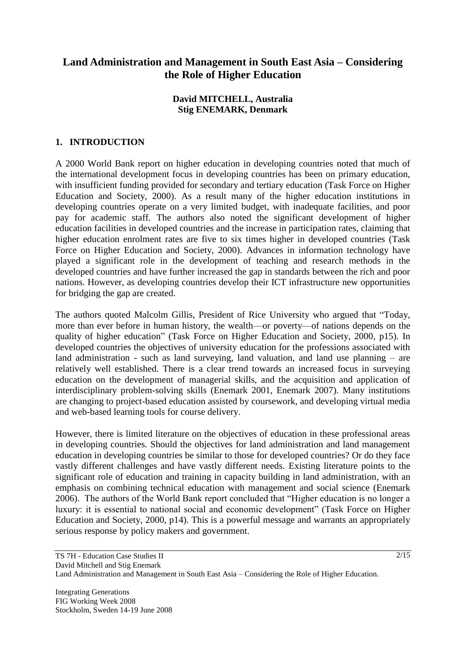# **Land Administration and Management in South East Asia – Considering the Role of Higher Education**

### **David MITCHELL, Australia Stig ENEMARK, Denmark**

## **1. INTRODUCTION**

A 2000 World Bank report on higher education in developing countries noted that much of the international development focus in developing countries has been on primary education, with insufficient funding provided for secondary and tertiary education (Task Force on Higher Education and Society, 2000). As a result many of the higher education institutions in developing countries operate on a very limited budget, with inadequate facilities, and poor pay for academic staff. The authors also noted the significant development of higher education facilities in developed countries and the increase in participation rates, claiming that higher education enrolment rates are five to six times higher in developed countries (Task Force on Higher Education and Society, 2000). Advances in information technology have played a significant role in the development of teaching and research methods in the developed countries and have further increased the gap in standards between the rich and poor nations. However, as developing countries develop their ICT infrastructure new opportunities for bridging the gap are created.

The authors quoted Malcolm Gillis, President of Rice University who argued that "Today, more than ever before in human history, the wealth—or poverty—of nations depends on the quality of higher education" (Task Force on Higher Education and Society, 2000, p15). In developed countries the objectives of university education for the professions associated with land administration - such as land surveying, land valuation, and land use planning – are relatively well established. There is a clear trend towards an increased focus in surveying education on the development of managerial skills, and the acquisition and application of interdisciplinary problem-solving skills (Enemark 2001, Enemark 2007). Many institutions are changing to project-based education assisted by coursework, and developing virtual media and web-based learning tools for course delivery.

However, there is limited literature on the objectives of education in these professional areas in developing countries. Should the objectives for land administration and land management education in developing countries be similar to those for developed countries? Or do they face vastly different challenges and have vastly different needs. Existing literature points to the significant role of education and training in capacity building in land administration, with an emphasis on combining technical education with management and social science (Enemark 2006). The authors of the World Bank report concluded that "Higher education is no longer a luxury: it is essential to national social and economic development" (Task Force on Higher Education and Society, 2000, p14). This is a powerful message and warrants an appropriately serious response by policy makers and government.

Integrating Generations FIG Working Week 2008 Stockholm, Sweden 14-19 June 2008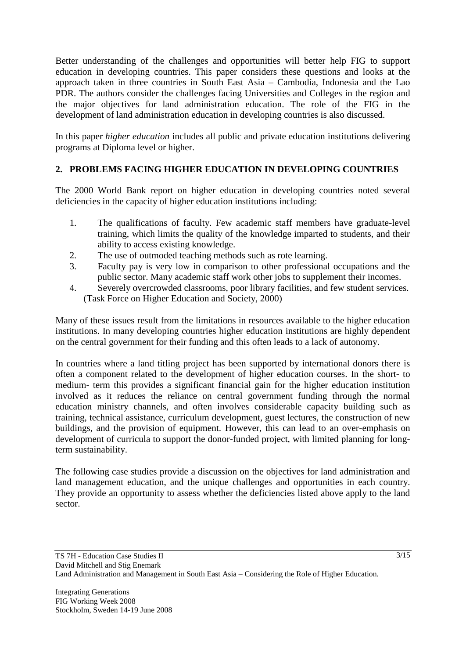Better understanding of the challenges and opportunities will better help FIG to support education in developing countries. This paper considers these questions and looks at the approach taken in three countries in South East Asia – Cambodia, Indonesia and the Lao PDR. The authors consider the challenges facing Universities and Colleges in the region and the major objectives for land administration education. The role of the FIG in the development of land administration education in developing countries is also discussed.

In this paper *higher education* includes all public and private education institutions delivering programs at Diploma level or higher.

## **2. PROBLEMS FACING HIGHER EDUCATION IN DEVELOPING COUNTRIES**

The 2000 World Bank report on higher education in developing countries noted several deficiencies in the capacity of higher education institutions including:

- 1. The qualifications of faculty. Few academic staff members have graduate-level training, which limits the quality of the knowledge imparted to students, and their ability to access existing knowledge.
- 2. The use of outmoded teaching methods such as rote learning.
- 3. Faculty pay is very low in comparison to other professional occupations and the public sector. Many academic staff work other jobs to supplement their incomes.
- 4. Severely overcrowded classrooms, poor library facilities, and few student services. (Task Force on Higher Education and Society, 2000)

Many of these issues result from the limitations in resources available to the higher education institutions. In many developing countries higher education institutions are highly dependent on the central government for their funding and this often leads to a lack of autonomy.

In countries where a land titling project has been supported by international donors there is often a component related to the development of higher education courses. In the short- to medium- term this provides a significant financial gain for the higher education institution involved as it reduces the reliance on central government funding through the normal education ministry channels, and often involves considerable capacity building such as training, technical assistance, curriculum development, guest lectures, the construction of new buildings, and the provision of equipment. However, this can lead to an over-emphasis on development of curricula to support the donor-funded project, with limited planning for longterm sustainability.

The following case studies provide a discussion on the objectives for land administration and land management education, and the unique challenges and opportunities in each country. They provide an opportunity to assess whether the deficiencies listed above apply to the land sector.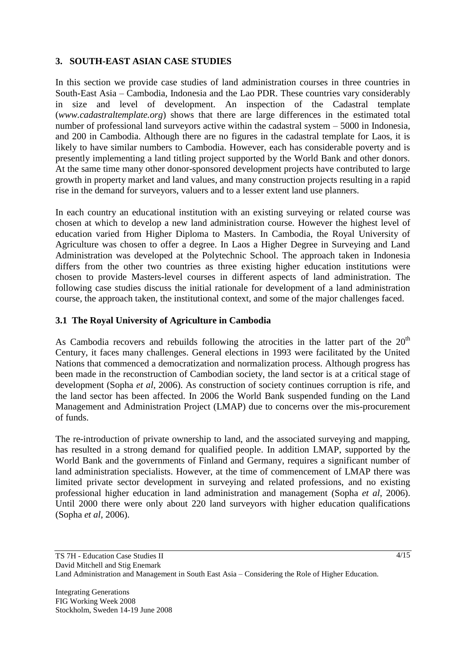## **3. SOUTH-EAST ASIAN CASE STUDIES**

In this section we provide case studies of land administration courses in three countries in South-East Asia – Cambodia, Indonesia and the Lao PDR. These countries vary considerably in size and level of development. An inspection of the Cadastral template (*www.cadastraltemplate.org*) shows that there are large differences in the estimated total number of professional land surveyors active within the cadastral system – 5000 in Indonesia, and 200 in Cambodia. Although there are no figures in the cadastral template for Laos, it is likely to have similar numbers to Cambodia. However, each has considerable poverty and is presently implementing a land titling project supported by the World Bank and other donors. At the same time many other donor-sponsored development projects have contributed to large growth in property market and land values, and many construction projects resulting in a rapid rise in the demand for surveyors, valuers and to a lesser extent land use planners.

In each country an educational institution with an existing surveying or related course was chosen at which to develop a new land administration course. However the highest level of education varied from Higher Diploma to Masters. In Cambodia, the Royal University of Agriculture was chosen to offer a degree. In Laos a Higher Degree in Surveying and Land Administration was developed at the Polytechnic School. The approach taken in Indonesia differs from the other two countries as three existing higher education institutions were chosen to provide Masters-level courses in different aspects of land administration. The following case studies discuss the initial rationale for development of a land administration course, the approach taken, the institutional context, and some of the major challenges faced.

## **3.1 The Royal University of Agriculture in Cambodia**

As Cambodia recovers and rebuilds following the atrocities in the latter part of the  $20<sup>th</sup>$ Century, it faces many challenges. General elections in 1993 were facilitated by the United Nations that commenced a democratization and normalization process. Although progress has been made in the reconstruction of Cambodian society, the land sector is at a critical stage of development (Sopha *et al*, 2006). As construction of society continues corruption is rife, and the land sector has been affected. In 2006 the World Bank suspended funding on the Land Management and Administration Project (LMAP) due to concerns over the mis-procurement of funds.

The re-introduction of private ownership to land, and the associated surveying and mapping, has resulted in a strong demand for qualified people. In addition LMAP, supported by the World Bank and the governments of Finland and Germany, requires a significant number of land administration specialists. However, at the time of commencement of LMAP there was limited private sector development in surveying and related professions, and no existing professional higher education in land administration and management (Sopha *et al*, 2006). Until 2000 there were only about 220 land surveyors with higher education qualifications (Sopha *et al*, 2006).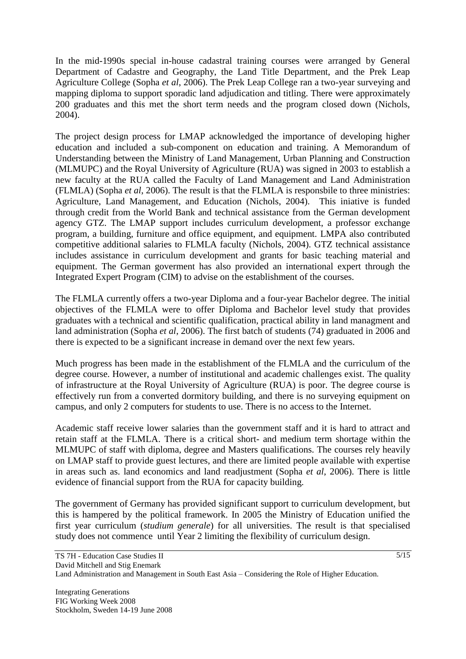In the mid-1990s special in-house cadastral training courses were arranged by General Department of Cadastre and Geography, the Land Title Department, and the Prek Leap Agriculture College (Sopha *et al*, 2006). The Prek Leap College ran a two-year surveying and mapping diploma to support sporadic land adjudication and titling. There were approximately 200 graduates and this met the short term needs and the program closed down (Nichols, 2004).

The project design process for LMAP acknowledged the importance of developing higher education and included a sub-component on education and training. A Memorandum of Understanding between the Ministry of Land Management, Urban Planning and Construction (MLMUPC) and the Royal University of Agriculture (RUA) was signed in 2003 to establish a new faculty at the RUA called the Faculty of Land Management and Land Administration (FLMLA) (Sopha *et al*, 2006). The result is that the FLMLA is responsbile to three ministries: Agriculture, Land Management, and Education (Nichols, 2004). This iniative is funded through credit from the World Bank and technical assistance from the German development agency GTZ. The LMAP support includes curriculum development, a professor exchange program, a building, furniture and office equipment, and equipment. LMPA also contributed competitive additional salaries to FLMLA faculty (Nichols, 2004). GTZ technical assistance includes assistance in curriculum development and grants for basic teaching material and equipment. The German goverment has also provided an international expert through the Integrated Expert Program (CIM) to advise on the establishment of the courses.

The FLMLA currently offers a two-year Diploma and a four-year Bachelor degree. The initial objectives of the FLMLA were to offer Diploma and Bachelor level study that provides graduates with a technical and scientific qualification, practical ability in land managment and land administration (Sopha *et al*, 2006). The first batch of students (74) graduated in 2006 and there is expected to be a significant increase in demand over the next few years.

Much progress has been made in the establishment of the FLMLA and the curriculum of the degree course. However, a number of institutional and academic challenges exist. The quality of infrastructure at the Royal University of Agriculture (RUA) is poor. The degree course is effectively run from a converted dormitory building, and there is no surveying equipment on campus, and only 2 computers for students to use. There is no access to the Internet.

Academic staff receive lower salaries than the government staff and it is hard to attract and retain staff at the FLMLA. There is a critical short- and medium term shortage within the MLMUPC of staff with diploma, degree and Masters qualifications. The courses rely heavily on LMAP staff to provide guest lectures, and there are limited people available with expertise in areas such as. land economics and land readjustment (Sopha *et al*, 2006). There is little evidence of financial support from the RUA for capacity building.

The government of Germany has provided significant support to curriculum development, but this is hampered by the political framework. In 2005 the Ministry of Education unified the first year curriculum (*studium generale*) for all universities. The result is that specialised study does not commence until Year 2 limiting the flexibility of curriculum design.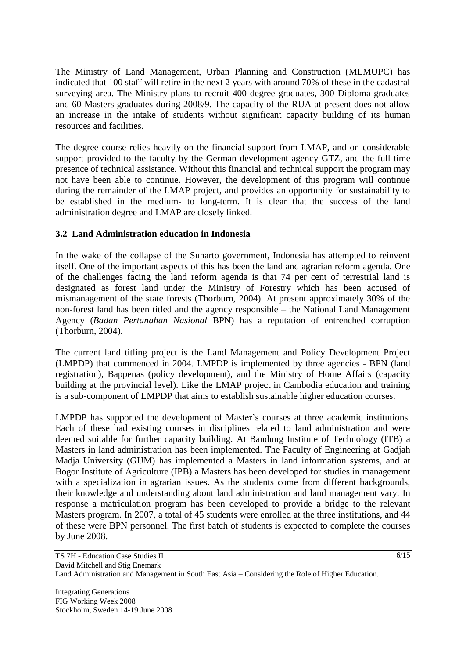The Ministry of Land Management, Urban Planning and Construction (MLMUPC) has indicated that 100 staff will retire in the next 2 years with around 70% of these in the cadastral surveying area. The Ministry plans to recruit 400 degree graduates, 300 Diploma graduates and 60 Masters graduates during 2008/9. The capacity of the RUA at present does not allow an increase in the intake of students without significant capacity building of its human resources and facilities.

The degree course relies heavily on the financial support from LMAP, and on considerable support provided to the faculty by the German development agency GTZ, and the full-time presence of technical assistance. Without this financial and technical support the program may not have been able to continue. However, the development of this program will continue during the remainder of the LMAP project, and provides an opportunity for sustainability to be established in the medium- to long-term. It is clear that the success of the land administration degree and LMAP are closely linked.

## **3.2 Land Administration education in Indonesia**

In the wake of the collapse of the Suharto government, Indonesia has attempted to reinvent itself. One of the important aspects of this has been the land and agrarian reform agenda. One of the challenges facing the land reform agenda is that 74 per cent of terrestrial land is designated as forest land under the Ministry of Forestry which has been accused of mismanagement of the state forests (Thorburn, 2004). At present approximately 30% of the non-forest land has been titled and the agency responsible – the National Land Management Agency (*Badan Pertanahan Nasional* BPN) has a reputation of entrenched corruption (Thorburn, 2004).

The current land titling project is the Land Management and Policy Development Project (LMPDP) that commenced in 2004. LMPDP is implemented by three agencies - BPN (land registration), Bappenas (policy development), and the Ministry of Home Affairs (capacity building at the provincial level). Like the LMAP project in Cambodia education and training is a sub-component of LMPDP that aims to establish sustainable higher education courses.

LMPDP has supported the development of Master's courses at three academic institutions. Each of these had existing courses in disciplines related to land administration and were deemed suitable for further capacity building. At Bandung Institute of Technology (ITB) a Masters in land administration has been implemented. The Faculty of Engineering at Gadjah Madja University (GUM) has implemented a Masters in land information systems, and at Bogor Institute of Agriculture (IPB) a Masters has been developed for studies in management with a specialization in agrarian issues. As the students come from different backgrounds, their knowledge and understanding about land administration and land management vary. In response a matriculation program has been developed to provide a bridge to the relevant Masters program. In 2007, a total of 45 students were enrolled at the three institutions, and 44 of these were BPN personnel. The first batch of students is expected to complete the courses by June 2008.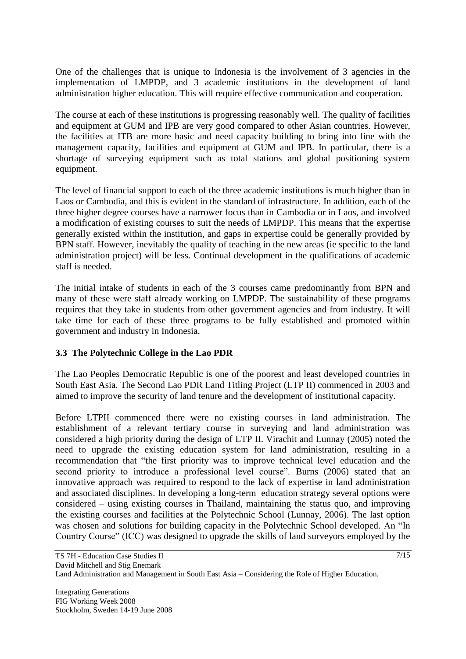One of the challenges that is unique to Indonesia is the involvement of 3 agencies in the implementation of LMPDP, and 3 academic institutions in the development of land administration higher education. This will require effective communication and cooperation.

The course at each of these institutions is progressing reasonably well. The quality of facilities and equipment at GUM and IPB are very good compared to other Asian countries. However, the facilities at ITB are more basic and need capacity building to bring into line with the management capacity, facilities and equipment at GUM and IPB. In particular, there is a shortage of surveying equipment such as total stations and global positioning system equipment.

The level of financial support to each of the three academic institutions is much higher than in Laos or Cambodia, and this is evident in the standard of infrastructure. In addition, each of the three higher degree courses have a narrower focus than in Cambodia or in Laos, and involved a modification of existing courses to suit the needs of LMPDP. This means that the expertise generally existed within the institution, and gaps in expertise could be generally provided by BPN staff. However, inevitably the quality of teaching in the new areas (ie specific to the land administration project) will be less. Continual development in the qualifications of academic staff is needed.

The initial intake of students in each of the 3 courses came predominantly from BPN and many of these were staff already working on LMPDP. The sustainability of these programs requires that they take in students from other government agencies and from industry. It will take time for each of these three programs to be fully established and promoted within government and industry in Indonesia.

#### **3.3 The Polytechnic College in the Lao PDR**

The Lao Peoples Democratic Republic is one of the poorest and least developed countries in South East Asia. The Second Lao PDR Land Titling Project (LTP II) commenced in 2003 and aimed to improve the security of land tenure and the development of institutional capacity.

Before LTPII commenced there were no existing courses in land administration. The establishment of a relevant tertiary course in surveying and land administration was considered a high priority during the design of LTP II. Virachit and Lunnay (2005) noted the need to upgrade the existing education system for land administration, resulting in a recommendation that "the first priority was to improve technical level education and the second priority to introduce a professional level course". Burns (2006) stated that an innovative approach was required to respond to the lack of expertise in land administration and associated disciplines. In developing a long-term education strategy several options were considered – using existing courses in Thailand, maintaining the status quo, and improving the existing courses and facilities at the Polytechnic School (Lunnay, 2006). The last option was chosen and solutions for building capacity in the Polytechnic School developed. An "In Country Course" (ICC) was designed to upgrade the skills of land surveyors employed by the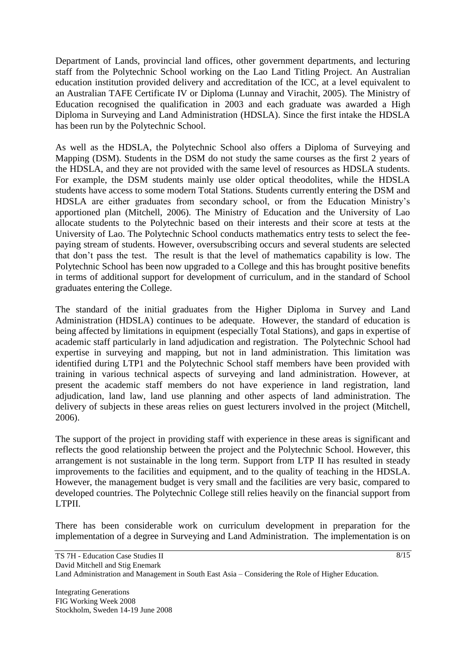Department of Lands, provincial land offices, other government departments, and lecturing staff from the Polytechnic School working on the Lao Land Titling Project. An Australian education institution provided delivery and accreditation of the ICC, at a level equivalent to an Australian TAFE Certificate IV or Diploma (Lunnay and Virachit, 2005). The Ministry of Education recognised the qualification in 2003 and each graduate was awarded a High Diploma in Surveying and Land Administration (HDSLA). Since the first intake the HDSLA has been run by the Polytechnic School.

As well as the HDSLA, the Polytechnic School also offers a Diploma of Surveying and Mapping (DSM). Students in the DSM do not study the same courses as the first 2 years of the HDSLA, and they are not provided with the same level of resources as HDSLA students. For example, the DSM students mainly use older optical theodolites, while the HDSLA students have access to some modern Total Stations. Students currently entering the DSM and HDSLA are either graduates from secondary school, or from the Education Ministry's apportioned plan (Mitchell, 2006). The Ministry of Education and the University of Lao allocate students to the Polytechnic based on their interests and their score at tests at the University of Lao. The Polytechnic School conducts mathematics entry tests to select the feepaying stream of students. However, oversubscribing occurs and several students are selected that don't pass the test. The result is that the level of mathematics capability is low. The Polytechnic School has been now upgraded to a College and this has brought positive benefits in terms of additional support for development of curriculum, and in the standard of School graduates entering the College.

The standard of the initial graduates from the Higher Diploma in Survey and Land Administration (HDSLA) continues to be adequate. However, the standard of education is being affected by limitations in equipment (especially Total Stations), and gaps in expertise of academic staff particularly in land adjudication and registration. The Polytechnic School had expertise in surveying and mapping, but not in land administration. This limitation was identified during LTP1 and the Polytechnic School staff members have been provided with training in various technical aspects of surveying and land administration. However, at present the academic staff members do not have experience in land registration, land adjudication, land law, land use planning and other aspects of land administration. The delivery of subjects in these areas relies on guest lecturers involved in the project (Mitchell, 2006).

The support of the project in providing staff with experience in these areas is significant and reflects the good relationship between the project and the Polytechnic School. However, this arrangement is not sustainable in the long term. Support from LTP II has resulted in steady improvements to the facilities and equipment, and to the quality of teaching in the HDSLA. However, the management budget is very small and the facilities are very basic, compared to developed countries. The Polytechnic College still relies heavily on the financial support from LTPII.

There has been considerable work on curriculum development in preparation for the implementation of a degree in Surveying and Land Administration. The implementation is on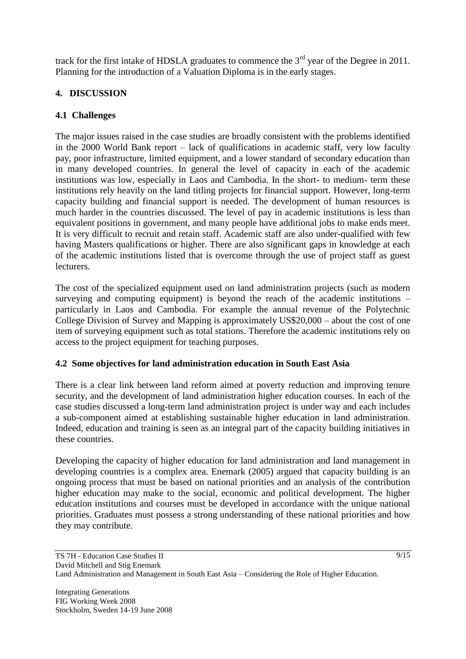track for the first intake of HDSLA graduates to commence the  $3<sup>rd</sup>$  year of the Degree in 2011. Planning for the introduction of a Valuation Diploma is in the early stages.

# **4. DISCUSSION**

## **4.1 Challenges**

The major issues raised in the case studies are broadly consistent with the problems identified in the 2000 World Bank report – lack of qualifications in academic staff, very low faculty pay, poor infrastructure, limited equipment, and a lower standard of secondary education than in many developed countries. In general the level of capacity in each of the academic institutions was low, especially in Laos and Cambodia. In the short- to medium- term these institutions rely heavily on the land titling projects for financial support. However, long-term capacity building and financial support is needed. The development of human resources is much harder in the countries discussed. The level of pay in academic institutions is less than equivalent positions in government, and many people have additional jobs to make ends meet. It is very difficult to recruit and retain staff. Academic staff are also under-qualified with few having Masters qualifications or higher. There are also significant gaps in knowledge at each of the academic institutions listed that is overcome through the use of project staff as guest lecturers.

The cost of the specialized equipment used on land administration projects (such as modern surveying and computing equipment) is beyond the reach of the academic institutions – particularly in Laos and Cambodia. For example the annual revenue of the Polytechnic College Division of Survey and Mapping is approximately US\$20,000 – about the cost of one item of surveying equipment such as total stations. Therefore the academic institutions rely on access to the project equipment for teaching purposes.

## **4.2 Some objectives for land administration education in South East Asia**

There is a clear link between land reform aimed at poverty reduction and improving tenure security, and the development of land administration higher education courses. In each of the case studies discussed a long-term land administration project is under way and each includes a sub-component aimed at establishing sustainable higher education in land administration. Indeed, education and training is seen as an integral part of the capacity building initiatives in these countries.

Developing the capacity of higher education for land administration and land management in developing countries is a complex area. Enemark (2005) argued that capacity building is an ongoing process that must be based on national priorities and an analysis of the contribution higher education may make to the social, economic and political development. The higher education institutions and courses must be developed in accordance with the unique national priorities. Graduates must possess a strong understanding of these national priorities and how they may contribute.

Integrating Generations FIG Working Week 2008 Stockholm, Sweden 14-19 June 2008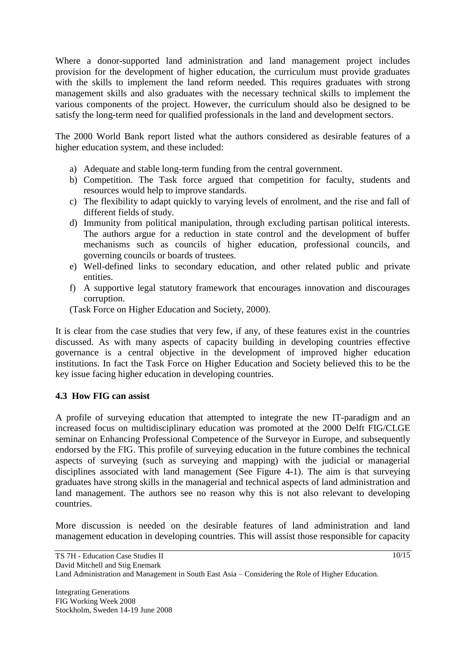Where a donor-supported land administration and land management project includes provision for the development of higher education, the curriculum must provide graduates with the skills to implement the land reform needed. This requires graduates with strong management skills and also graduates with the necessary technical skills to implement the various components of the project. However, the curriculum should also be designed to be satisfy the long-term need for qualified professionals in the land and development sectors.

The 2000 World Bank report listed what the authors considered as desirable features of a higher education system, and these included:

- a) Adequate and stable long-term funding from the central government.
- b) Competition. The Task force argued that competition for faculty, students and resources would help to improve standards.
- c) The flexibility to adapt quickly to varying levels of enrolment, and the rise and fall of different fields of study.
- d) Immunity from political manipulation, through excluding partisan political interests. The authors argue for a reduction in state control and the development of buffer mechanisms such as councils of higher education, professional councils, and governing councils or boards of trustees.
- e) Well-defined links to secondary education, and other related public and private entities.
- f) A supportive legal statutory framework that encourages innovation and discourages corruption.

(Task Force on Higher Education and Society, 2000).

It is clear from the case studies that very few, if any, of these features exist in the countries discussed. As with many aspects of capacity building in developing countries effective governance is a central objective in the development of improved higher education institutions. In fact the Task Force on Higher Education and Society believed this to be the key issue facing higher education in developing countries.

#### **4.3 How FIG can assist**

A profile of surveying education that attempted to integrate the new IT-paradigm and an increased focus on multidisciplinary education was promoted at the 2000 Delft FIG/CLGE seminar on Enhancing Professional Competence of the Surveyor in Europe, and subsequently endorsed by the FIG. This profile of surveying education in the future combines the technical aspects of surveying (such as surveying and mapping) with the judicial or managerial disciplines associated with land management (See Figure 4-1). The aim is that surveying graduates have strong skills in the managerial and technical aspects of land administration and land management. The authors see no reason why this is not also relevant to developing countries.

More discussion is needed on the desirable features of land administration and land management education in developing countries. This will assist those responsible for capacity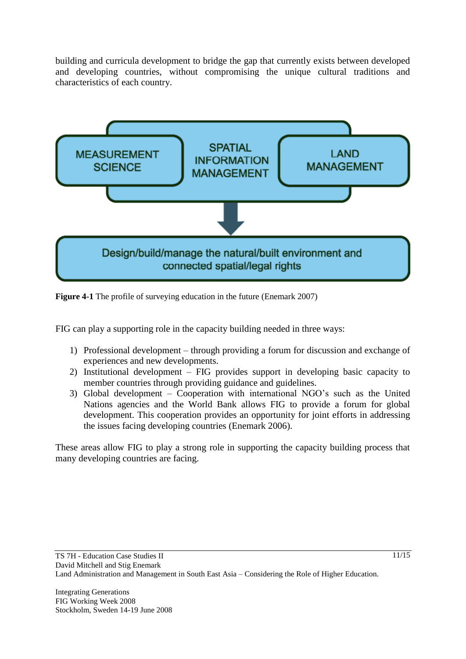building and curricula development to bridge the gap that currently exists between developed and developing countries, without compromising the unique cultural traditions and characteristics of each country.



**Figure 4-1** The profile of surveying education in the future (Enemark 2007)

FIG can play a supporting role in the capacity building needed in three ways:

- 1) Professional development through providing a forum for discussion and exchange of experiences and new developments.
- 2) Institutional development FIG provides support in developing basic capacity to member countries through providing guidance and guidelines.
- 3) Global development Cooperation with international NGO's such as the United Nations agencies and the World Bank allows FIG to provide a forum for global development. This cooperation provides an opportunity for joint efforts in addressing the issues facing developing countries (Enemark 2006).

These areas allow FIG to play a strong role in supporting the capacity building process that many developing countries are facing.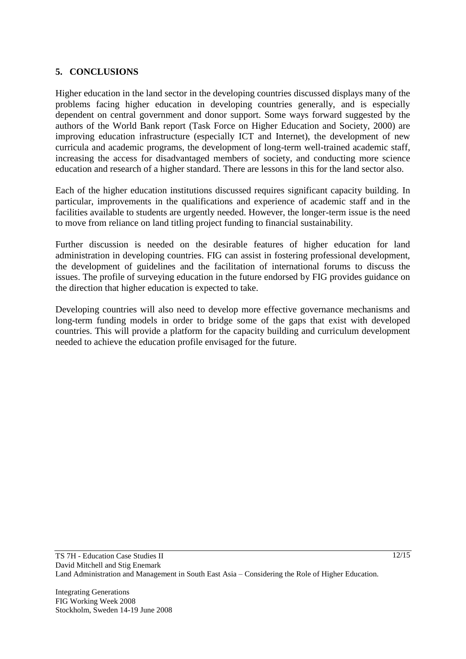#### **5. CONCLUSIONS**

Higher education in the land sector in the developing countries discussed displays many of the problems facing higher education in developing countries generally, and is especially dependent on central government and donor support. Some ways forward suggested by the authors of the World Bank report (Task Force on Higher Education and Society, 2000) are improving education infrastructure (especially ICT and Internet), the development of new curricula and academic programs, the development of long-term well-trained academic staff, increasing the access for disadvantaged members of society, and conducting more science education and research of a higher standard. There are lessons in this for the land sector also.

Each of the higher education institutions discussed requires significant capacity building. In particular, improvements in the qualifications and experience of academic staff and in the facilities available to students are urgently needed. However, the longer-term issue is the need to move from reliance on land titling project funding to financial sustainability.

Further discussion is needed on the desirable features of higher education for land administration in developing countries. FIG can assist in fostering professional development, the development of guidelines and the facilitation of international forums to discuss the issues. The profile of surveying education in the future endorsed by FIG provides guidance on the direction that higher education is expected to take.

Developing countries will also need to develop more effective governance mechanisms and long-term funding models in order to bridge some of the gaps that exist with developed countries. This will provide a platform for the capacity building and curriculum development needed to achieve the education profile envisaged for the future.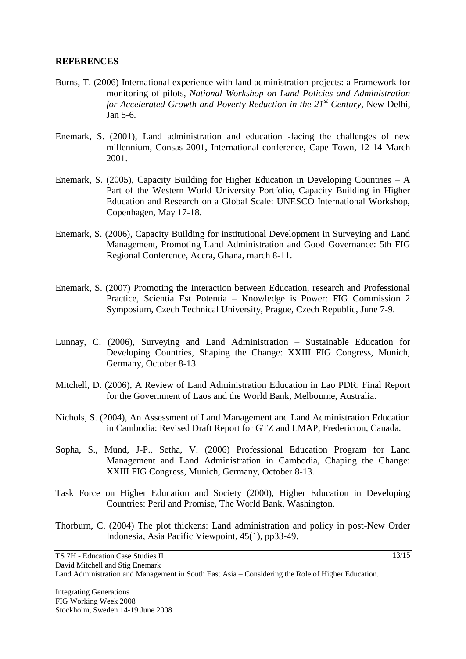#### **REFERENCES**

- Burns, T. (2006) International experience with land administration projects: a Framework for monitoring of pilots, *National Workshop on Land Policies and Administration for Accelerated Growth and Poverty Reduction in the 21st Century*, New Delhi, Jan 5-6.
- Enemark, S. (2001), Land administration and education -facing the challenges of new millennium, Consas 2001, International conference, Cape Town, 12-14 March 2001.
- Enemark, S. (2005), Capacity Building for Higher Education in Developing Countries  $A$ Part of the Western World University Portfolio, Capacity Building in Higher Education and Research on a Global Scale: UNESCO International Workshop, Copenhagen, May 17-18.
- Enemark, S. (2006), Capacity Building for institutional Development in Surveying and Land Management, Promoting Land Administration and Good Governance: 5th FIG Regional Conference, Accra, Ghana, march 8-11.
- Enemark, S. (2007) Promoting the Interaction between Education, research and Professional Practice, Scientia Est Potentia – Knowledge is Power: FIG Commission 2 Symposium, Czech Technical University, Prague, Czech Republic, June 7-9.
- Lunnay, C. (2006), Surveying and Land Administration Sustainable Education for Developing Countries, Shaping the Change: XXIII FIG Congress, Munich, Germany, October 8-13.
- Mitchell, D. (2006), A Review of Land Administration Education in Lao PDR: Final Report for the Government of Laos and the World Bank, Melbourne, Australia.
- Nichols, S. (2004), An Assessment of Land Management and Land Administration Education in Cambodia: Revised Draft Report for GTZ and LMAP, Fredericton, Canada.
- Sopha, S., Mund, J-P., Setha, V. (2006) Professional Education Program for Land Management and Land Administration in Cambodia, Chaping the Change: XXIII FIG Congress, Munich, Germany, October 8-13.
- Task Force on Higher Education and Society (2000), Higher Education in Developing Countries: Peril and Promise, The World Bank, Washington.
- Thorburn, C. (2004) The plot thickens: Land administration and policy in post-New Order Indonesia, Asia Pacific Viewpoint, 45(1), pp33-49.

 $13/15$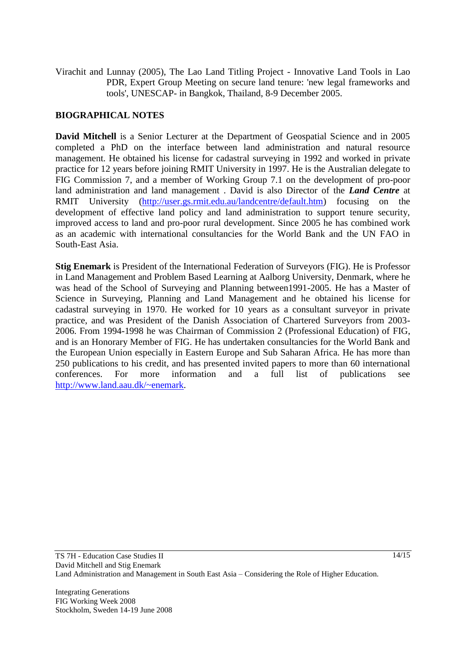Virachit and Lunnay (2005), The Lao Land Titling Project - Innovative Land Tools in Lao PDR, Expert Group Meeting on secure land tenure: 'new legal frameworks and tools', UNESCAP- in Bangkok, Thailand, 8-9 December 2005.

#### **BIOGRAPHICAL NOTES**

**David Mitchell** is a Senior Lecturer at the Department of Geospatial Science and in 2005 completed a PhD on the interface between land administration and natural resource management. He obtained his license for cadastral surveying in 1992 and worked in private practice for 12 years before joining RMIT University in 1997. He is the Australian delegate to FIG Commission 7, and a member of Working Group 7.1 on the development of pro-poor land administration and land management . David is also Director of the *Land Centre* at RMIT University [\(http://user.gs.rmit.edu.au/landcentre/default.htm\)](http://user.gs.rmit.edu.au/landcentre/default.htm) focusing on the development of effective land policy and land administration to support tenure security, improved access to land and pro-poor rural development. Since 2005 he has combined work as an academic with international consultancies for the World Bank and the UN FAO in South-East Asia.

**Stig Enemark** is President of the International Federation of Surveyors (FIG). He is Professor in Land Management and Problem Based Learning at Aalborg University, Denmark, where he was head of the School of Surveying and Planning between1991-2005. He has a Master of Science in Surveying, Planning and Land Management and he obtained his license for cadastral surveying in 1970. He worked for 10 years as a consultant surveyor in private practice, and was President of the Danish Association of Chartered Surveyors from 2003- 2006. From 1994-1998 he was Chairman of Commission 2 (Professional Education) of FIG, and is an Honorary Member of FIG. He has undertaken consultancies for the World Bank and the European Union especially in Eastern Europe and Sub Saharan Africa. He has more than 250 publications to his credit, and has presented invited papers to more than 60 international conferences. For more information and a full list of publications see [http://www.land.aau.dk/~enemark.](http://www.land.aau.dk/~enemark)

Integrating Generations FIG Working Week 2008 Stockholm, Sweden 14-19 June 2008